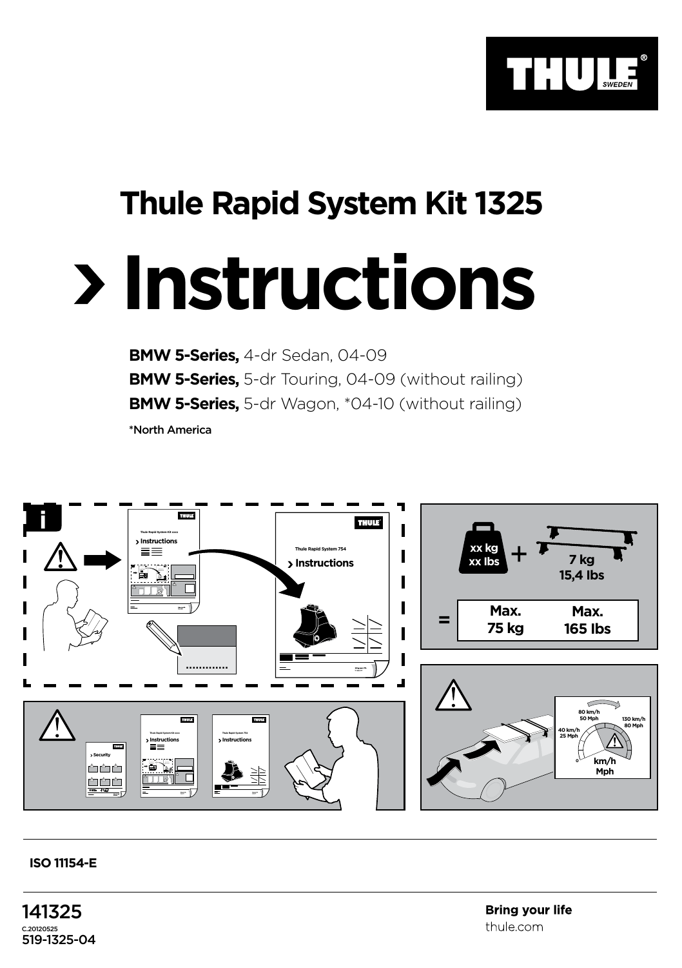

## **Thule Rapid System Kit 1325**

## **Instructions**

**BMW 5-Series,** 4-dr Sedan, 04-09 **BMW 5-Series,** 5-dr Touring, 04-09 (without railing) **BMW 5-Series,** 5-dr Wagon, \*04-10 (without railing) \*North America



## **ISO 11154-E**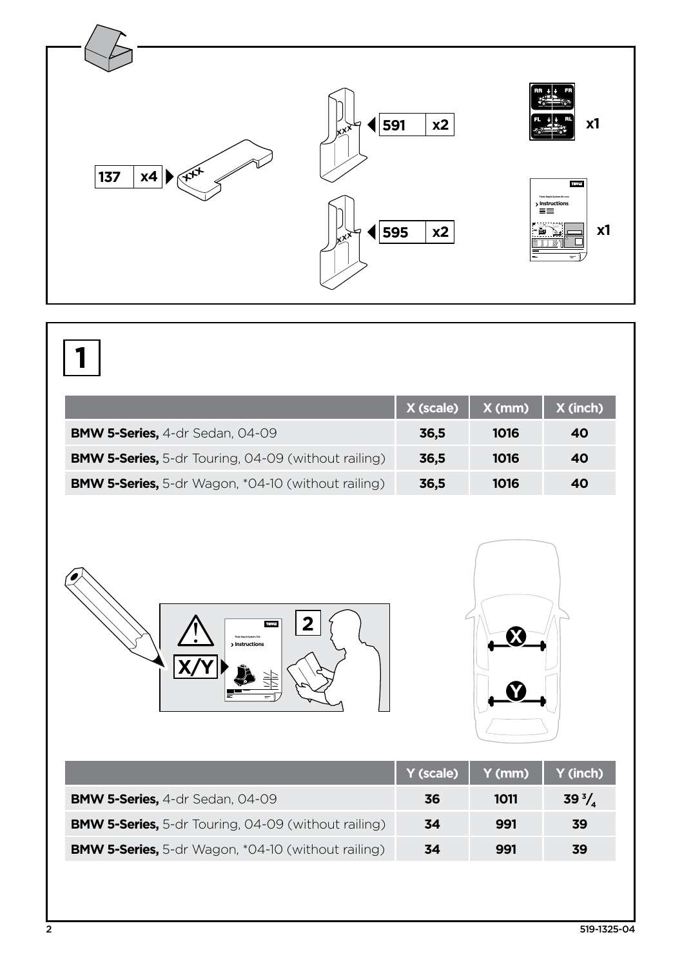

|                                                            | X (scale) | $X$ (mm) | $X$ (inch) |
|------------------------------------------------------------|-----------|----------|------------|
| <b>BMW 5-Series, 4-dr Sedan, 04-09</b>                     | 36,5      | 1016     | 40         |
| <b>BMW 5-Series,</b> 5-dr Touring, 04-09 (without railing) | 36,5      | 1016     | 40         |
| <b>BMW 5-Series,</b> 5-dr Wagon, *04-10 (without railing)  | 36,5      | 1016     | 40         |





|                                                            | $Y$ (scale) | Y(mm) | Y (inch)   |
|------------------------------------------------------------|-------------|-------|------------|
| <b>BMW 5-Series, 4-dr Sedan, 04-09</b>                     | 36          | 1011  | $39^{3}/.$ |
| <b>BMW 5-Series,</b> 5-dr Touring, 04-09 (without railing) | 34          | 991   | 39         |
| <b>BMW 5-Series,</b> 5-dr Wagon, *04-10 (without railing)  | 34          | 991   | 39         |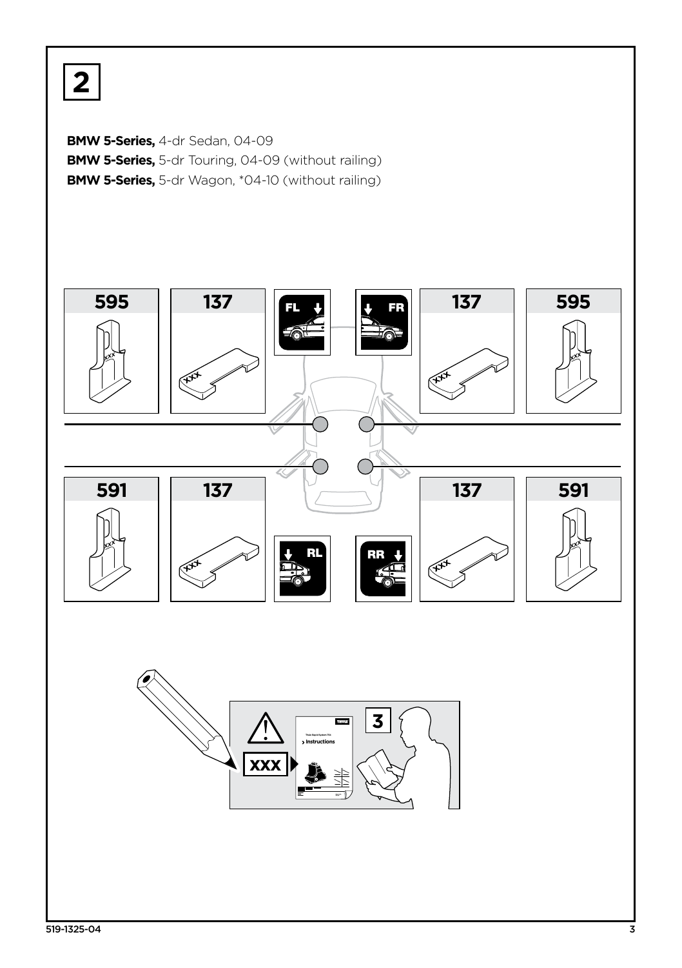**2**

**BMW 5-Series,** 4-dr Sedan, 04-09 **BMW 5-Series,** 5-dr Touring, 04-09 (without railing) **BMW 5-Series,** 5-dr Wagon, \*04-10 (without railing)